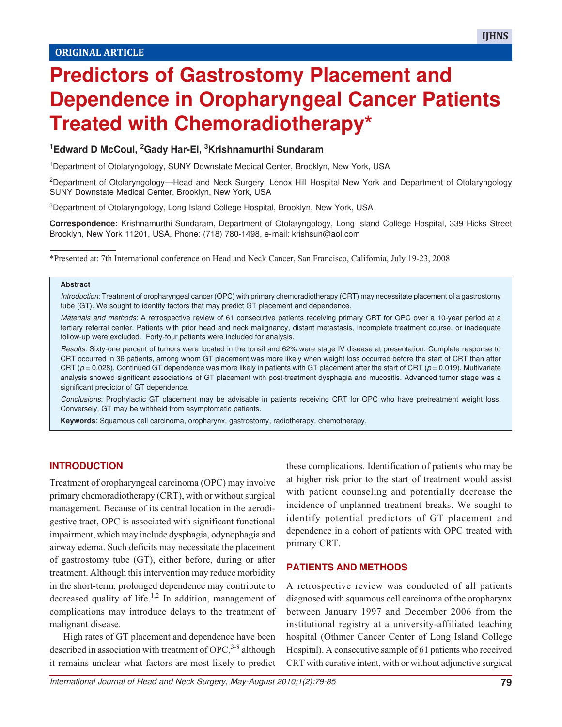# **Predictors of Gastrostomy Placement and Dependence in Oropharyngeal Cancer Patients Treated with Chemoradiotherapy\***

## **<sup>1</sup>Edward D McCoul, 2Gady Har-El, 3Krishnamurthi Sundaram**

<sup>1</sup>Department of Otolaryngology, SUNY Downstate Medical Center, Brooklyn, New York, USA

<sup>2</sup>Department of Otolaryngology—Head and Neck Surgery, Lenox Hill Hospital New York and Department of Otolaryngology SUNY Downstate Medical Center, Brooklyn, New York, USA

<sup>3</sup>Department of Otolaryngology, Long Island College Hospital, Brooklyn, New York, USA

**Correspondence:** Krishnamurthi Sundaram, Department of Otolaryngology, Long Island College Hospital, 339 Hicks Street Brooklyn, New York 11201, USA, Phone: (718) 780-1498, e-mail: krishsun@aol.com

\*Presented at: 7th International conference on Head and Neck Cancer, San Francisco, California, July 19-23, 2008

#### **Abstract**

Introduction: Treatment of oropharyngeal cancer (OPC) with primary chemoradiotherapy (CRT) may necessitate placement of a gastrostomy tube (GT). We sought to identify factors that may predict GT placement and dependence.

Materials and methods: A retrospective review of 61 consecutive patients receiving primary CRT for OPC over a 10-year period at a tertiary referral center. Patients with prior head and neck malignancy, distant metastasis, incomplete treatment course, or inadequate follow-up were excluded. Forty-four patients were included for analysis.

Results: Sixty-one percent of tumors were located in the tonsil and 62% were stage IV disease at presentation. Complete response to CRT occurred in 36 patients, among whom GT placement was more likely when weight loss occurred before the start of CRT than after CRT ( $p = 0.028$ ). Continued GT dependence was more likely in patients with GT placement after the start of CRT ( $p = 0.019$ ). Multivariate analysis showed significant associations of GT placement with post-treatment dysphagia and mucositis. Advanced tumor stage was a significant predictor of GT dependence.

Conclusions: Prophylactic GT placement may be advisable in patients receiving CRT for OPC who have pretreatment weight loss. Conversely, GT may be withheld from asymptomatic patients.

**Keywords**: Squamous cell carcinoma, oropharynx, gastrostomy, radiotherapy, chemotherapy.

#### **INTRODUCTION**

Treatment of oropharyngeal carcinoma (OPC) may involve primary chemoradiotherapy (CRT), with or without surgical management. Because of its central location in the aerodigestive tract, OPC is associated with significant functional impairment, which may include dysphagia, odynophagia and airway edema. Such deficits may necessitate the placement of gastrostomy tube (GT), either before, during or after treatment. Although this intervention may reduce morbidity in the short-term, prolonged dependence may contribute to decreased quality of life.<sup>1,2</sup> In addition, management of complications may introduce delays to the treatment of malignant disease.

High rates of GT placement and dependence have been described in association with treatment of OPC,  $3-8$  although it remains unclear what factors are most likely to predict

these complications. Identification of patients who may be at higher risk prior to the start of treatment would assist with patient counseling and potentially decrease the incidence of unplanned treatment breaks. We sought to identify potential predictors of GT placement and dependence in a cohort of patients with OPC treated with primary CRT.

#### **PATIENTS AND METHODS**

A retrospective review was conducted of all patients diagnosed with squamous cell carcinoma of the oropharynx between January 1997 and December 2006 from the institutional registry at a university-affiliated teaching hospital (Othmer Cancer Center of Long Island College Hospital). A consecutive sample of 61 patients who received CRT with curative intent, with or without adjunctive surgical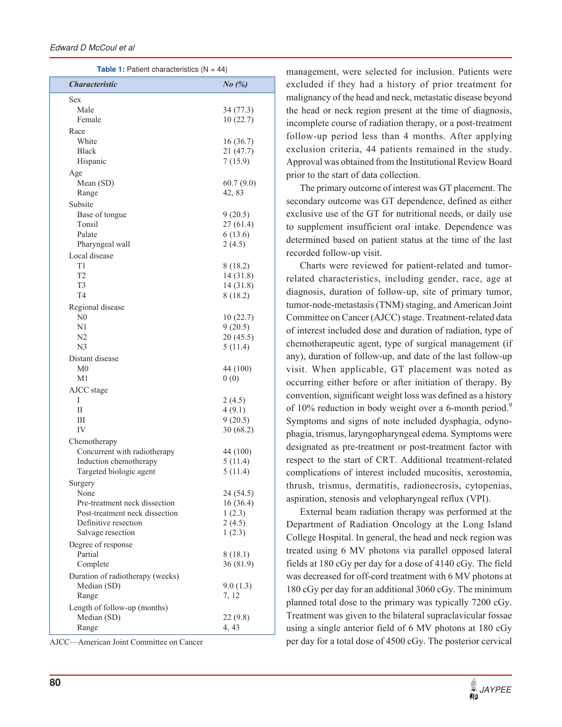**Table 1:** Patient characteristics (N = 44)

| <b>Characteristic</b>            | $No$ $(\%)$ |
|----------------------------------|-------------|
| Sex                              |             |
| Male                             | 34 (77.3)   |
| Female                           | 10(22.7)    |
| Race                             |             |
| White                            | 16(36.7)    |
| Black                            | 21 (47.7)   |
| Hispanic                         | 7(15.9)     |
| Age                              |             |
| Mean (SD)                        | 60.7(9.0)   |
| Range                            | 42, 83      |
| Subsite                          |             |
| Base of tongue                   | 9(20.5)     |
| Tonsil                           | 27 (61.4)   |
| Palate                           | 6(13.6)     |
| Pharyngeal wall                  | 2(4.5)      |
| Local disease                    |             |
| T <sub>1</sub>                   | 8 (18.2)    |
| T <sub>2</sub>                   | 14 (31.8)   |
| T <sub>3</sub>                   | 14 (31.8)   |
| T <sub>4</sub>                   | 8(18.2)     |
| Regional disease                 |             |
| N <sub>0</sub>                   | 10(22.7)    |
| N1                               | 9(20.5)     |
| N <sub>2</sub>                   | 20(45.5)    |
| N <sub>3</sub>                   | 5(11.4)     |
| Distant disease                  |             |
| M0                               | 44 (100)    |
| M1                               | 0(0)        |
| AJCC stage                       |             |
| I                                | 2(4.5)      |
| П                                | 4(9.1)      |
| Ш                                | 9(20.5)     |
| IV                               | 30(68.2)    |
| Chemotherapy                     |             |
| Concurrent with radiotherapy     | 44 (100)    |
| Induction chemotherapy           | 5(11.4)     |
| Targeted biologic agent          | 5(11.4)     |
| Surgery                          |             |
| None                             | 24 (54.5)   |
| Pre-treatment neck dissection    | 16 (36.4)   |
| Post-treatment neck dissection   | 1(2.3)      |
| Definitive resection             | 2(4.5)      |
| Salvage resection                | 1(2.3)      |
| Degree of response               |             |
| Partial                          | 8 (18.1)    |
| Complete                         | 36(81.9)    |
| Duration of radiotherapy (weeks) |             |
| Median (SD)                      | 9.0(1.3)    |
| Range                            | 7, 12       |
| Length of follow-up (months)     |             |
| Median (SD)                      | 22 (9.8)    |
| Range                            | 4, 43       |

AJCC—American Joint Committee on Cancer

management, were selected for inclusion. Patients were excluded if they had a history of prior treatment for malignancy of the head and neck, metastatic disease beyond the head or neck region present at the time of diagnosis, incomplete course of radiation therapy, or a post-treatment follow-up period less than 4 months. After applying exclusion criteria, 44 patients remained in the study. Approval was obtained from the Institutional Review Board prior to the start of data collection.

The primary outcome of interest was GT placement. The secondary outcome was GT dependence, defined as either exclusive use of the GT for nutritional needs, or daily use to supplement insufficient oral intake. Dependence was determined based on patient status at the time of the last recorded follow-up visit.

Charts were reviewed for patient-related and tumorrelated characteristics, including gender, race, age at diagnosis, duration of follow-up, site of primary tumor, tumor-node-metastasis (TNM) staging, and American Joint Committee on Cancer (AJCC) stage. Treatment-related data of interest included dose and duration of radiation, type of chemotherapeutic agent, type of surgical management (if any), duration of follow-up, and date of the last follow-up visit. When applicable, GT placement was noted as occurring either before or after initiation of therapy. By convention, significant weight loss was defined as a history of 10% reduction in body weight over a 6-month period.<sup>9</sup> Symptoms and signs of note included dysphagia, odynophagia, trismus, laryngopharyngeal edema. Symptoms were designated as pre-treatment or post-treatment factor with respect to the start of CRT. Additional treatment-related complications of interest included mucositis, xerostomia, thrush, trismus, dermatitis, radionecrosis, cytopenias, aspiration, stenosis and velopharyngeal reflux (VPI).

External beam radiation therapy was performed at the Department of Radiation Oncology at the Long Island College Hospital. In general, the head and neck region was treated using 6 MV photons via parallel opposed lateral fields at 180 cGy per day for a dose of 4140 cGy. The field was decreased for off-cord treatment with 6 MV photons at 180 cGy per day for an additional 3060 cGy. The minimum planned total dose to the primary was typically 7200 cGy. Treatment was given to the bilateral supraclavicular fossae using a single anterior field of 6 MV photons at 180 cGy per day for a total dose of 4500 cGy. The posterior cervical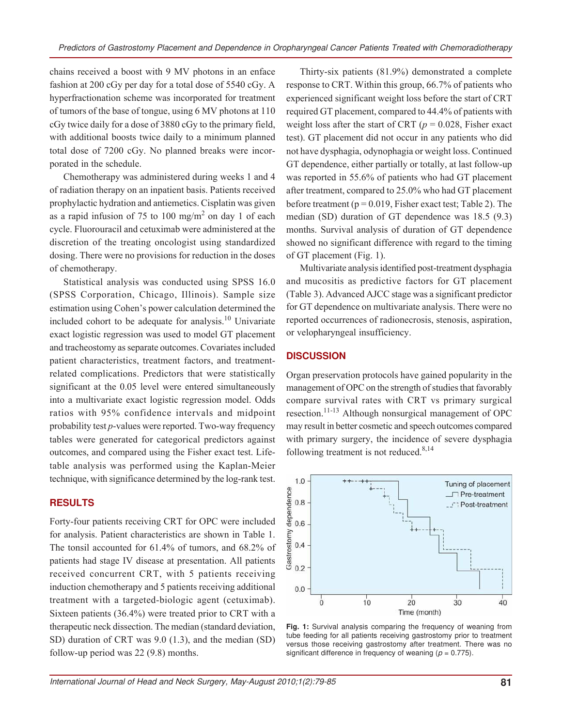chains received a boost with 9 MV photons in an enface fashion at 200 cGy per day for a total dose of 5540 cGy. A hyperfractionation scheme was incorporated for treatment of tumors of the base of tongue, using 6 MV photons at 110 cGy twice daily for a dose of 3880 cGy to the primary field, with additional boosts twice daily to a minimum planned total dose of 7200 cGy. No planned breaks were incorporated in the schedule.

Chemotherapy was administered during weeks 1 and 4 of radiation therapy on an inpatient basis. Patients received prophylactic hydration and antiemetics. Cisplatin was given as a rapid infusion of 75 to  $100 \text{ mg/m}^2$  on day 1 of each cycle. Fluorouracil and cetuximab were administered at the discretion of the treating oncologist using standardized dosing. There were no provisions for reduction in the doses of chemotherapy.

Statistical analysis was conducted using SPSS 16.0 (SPSS Corporation, Chicago, Illinois). Sample size estimation using Cohen's power calculation determined the included cohort to be adequate for analysis.<sup>10</sup> Univariate exact logistic regression was used to model GT placement and tracheostomy as separate outcomes. Covariates included patient characteristics, treatment factors, and treatmentrelated complications. Predictors that were statistically significant at the 0.05 level were entered simultaneously into a multivariate exact logistic regression model. Odds ratios with 95% confidence intervals and midpoint probability test *p*-values were reported. Two-way frequency tables were generated for categorical predictors against outcomes, and compared using the Fisher exact test. Lifetable analysis was performed using the Kaplan-Meier technique, with significance determined by the log-rank test.

#### **RESULTS**

Forty-four patients receiving CRT for OPC were included for analysis. Patient characteristics are shown in Table 1. The tonsil accounted for 61.4% of tumors, and 68.2% of patients had stage IV disease at presentation. All patients received concurrent CRT, with 5 patients receiving induction chemotherapy and 5 patients receiving additional treatment with a targeted-biologic agent (cetuximab). Sixteen patients (36.4%) were treated prior to CRT with a therapeutic neck dissection. The median (standard deviation, SD) duration of CRT was 9.0 (1.3), and the median (SD) follow-up period was 22 (9.8) months.

Thirty-six patients (81.9%) demonstrated a complete response to CRT. Within this group, 66.7% of patients who experienced significant weight loss before the start of CRT required GT placement, compared to 44.4% of patients with weight loss after the start of CRT ( $p = 0.028$ , Fisher exact test). GT placement did not occur in any patients who did not have dysphagia, odynophagia or weight loss. Continued GT dependence, either partially or totally, at last follow-up was reported in 55.6% of patients who had GT placement after treatment, compared to 25.0% who had GT placement before treatment ( $p = 0.019$ , Fisher exact test; Table 2). The median (SD) duration of GT dependence was 18.5 (9.3) months. Survival analysis of duration of GT dependence showed no significant difference with regard to the timing of GT placement (Fig. 1).

Multivariate analysis identified post-treatment dysphagia and mucositis as predictive factors for GT placement (Table 3). Advanced AJCC stage was a significant predictor for GT dependence on multivariate analysis. There were no reported occurrences of radionecrosis, stenosis, aspiration, or velopharyngeal insufficiency.

#### **DISCUSSION**

Organ preservation protocols have gained popularity in the management of OPC on the strength of studies that favorably compare survival rates with CRT vs primary surgical resection.11-13 Although nonsurgical management of OPC may result in better cosmetic and speech outcomes compared with primary surgery, the incidence of severe dysphagia following treatment is not reduced. $8,14$ 



**Fig. 1:** Survival analysis comparing the frequency of weaning from tube feeding for all patients receiving gastrostomy prior to treatment versus those receiving gastrostomy after treatment. There was no significant difference in frequency of weaning ( $p = 0.775$ ).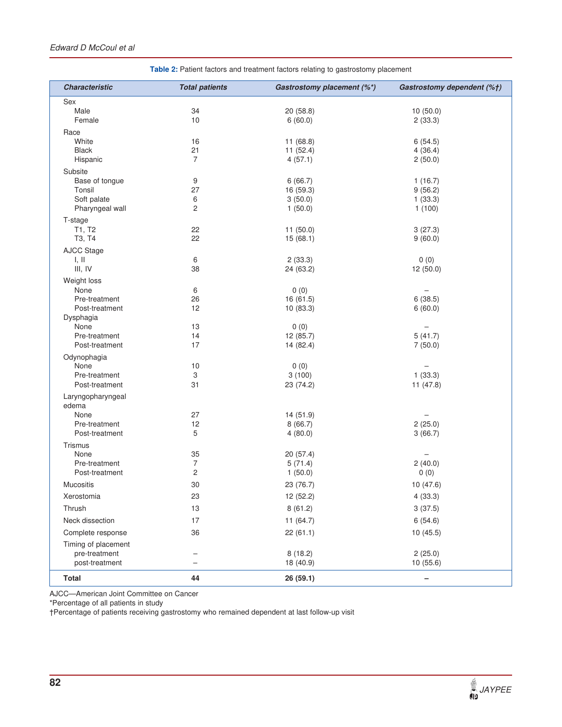#### Edward D McCoul et al

| <b>Characteristic</b> | <b>Total patients</b>    | Gastrostomy placement (%*)<br>Gastrostomy dependent (%+) |                          |
|-----------------------|--------------------------|----------------------------------------------------------|--------------------------|
| Sex                   |                          |                                                          |                          |
| Male                  | 34                       | 20(58.8)                                                 | 10(50.0)                 |
| Female                | 10                       | 6(60.0)                                                  | 2(33.3)                  |
| Race                  |                          |                                                          |                          |
| White                 | 16                       | 11(68.8)                                                 | 6(54.5)                  |
| <b>Black</b>          | 21                       | 11(52.4)                                                 | 4(36.4)                  |
| Hispanic              | 7                        | 4(57.1)                                                  | 2(50.0)                  |
| Subsite               |                          |                                                          |                          |
| Base of tongue        | 9                        | 6(66.7)                                                  | 1(16.7)                  |
| Tonsil                | 27                       | 16 (59.3)                                                | 9(56.2)                  |
| Soft palate           | 6                        | 3(50.0)                                                  | 1(33.3)                  |
| Pharyngeal wall       | 2                        | 1(50.0)                                                  | 1(100)                   |
| T-stage               |                          |                                                          |                          |
| T1, T2                | 22                       | 11(50.0)                                                 | 3(27.3)                  |
| T3, T4                | 22                       | 15(68.1)                                                 | 9(60.0)                  |
| <b>AJCC Stage</b>     |                          |                                                          |                          |
| I, II                 | 6                        | 2(33.3)                                                  | 0(0)                     |
| III, IV               | 38                       | 24 (63.2)                                                | 12 (50.0)                |
| Weight loss           |                          |                                                          |                          |
| None                  | 6                        | 0(0)                                                     |                          |
| Pre-treatment         | 26                       | 16 (61.5)                                                | 6(38.5)                  |
| Post-treatment        | 12                       | 10(83.3)                                                 | 6(60.0)                  |
| Dysphagia             |                          |                                                          |                          |
| None                  | 13                       | 0(0)                                                     | $\overline{\phantom{0}}$ |
| Pre-treatment         | 14                       | 12 (85.7)                                                | 5(41.7)                  |
| Post-treatment        | 17                       | 14 (82.4)                                                | 7(50.0)                  |
| Odynophagia           |                          |                                                          |                          |
| None                  | 10                       | 0(0)                                                     |                          |
| Pre-treatment         | 3                        | 3(100)                                                   | 1(33.3)                  |
| Post-treatment        | 31                       | 23 (74.2)                                                | 11(47.8)                 |
| Laryngopharyngeal     |                          |                                                          |                          |
| edema                 |                          |                                                          |                          |
| None                  | 27                       | 14 (51.9)                                                |                          |
| Pre-treatment         | 12                       | 8(66.7)                                                  | 2(25.0)                  |
| Post-treatment        | 5                        | 4(80.0)                                                  | 3(66.7)                  |
| Trismus               |                          |                                                          |                          |
| None                  | 35                       | 20(57.4)                                                 | $\overline{\phantom{0}}$ |
| Pre-treatment         | $\overline{7}$           | 5(71.4)                                                  | 2(40.0)                  |
| Post-treatment        | 2                        | 1(50.0)                                                  | 0(0)                     |
| <b>Mucositis</b>      | 30                       | 23 (76.7)                                                | 10(47.6)                 |
| Xerostomia            | 23                       | 12 (52.2)                                                | 4(33.3)                  |
| Thrush                | 13                       | 8(61.2)                                                  | 3(37.5)                  |
| Neck dissection       | 17                       | 11 (64.7)                                                | 6(54.6)                  |
| Complete response     | 36                       | 22(61.1)                                                 | 10(45.5)                 |
| Timing of placement   |                          |                                                          |                          |
| pre-treatment         | $\overline{\phantom{0}}$ | 8(18.2)                                                  | 2(25.0)                  |
| post-treatment        |                          | 18 (40.9)                                                | 10(55.6)                 |
| <b>Total</b>          | 44                       | 26 (59.1)                                                | -                        |

**Table 2:** Patient factors and treatment factors relating to gastrostomy placement

AJCC—American Joint Committee on Cancer

\*Percentage of all patients in study

†Percentage of patients receiving gastrostomy who remained dependent at last follow-up visit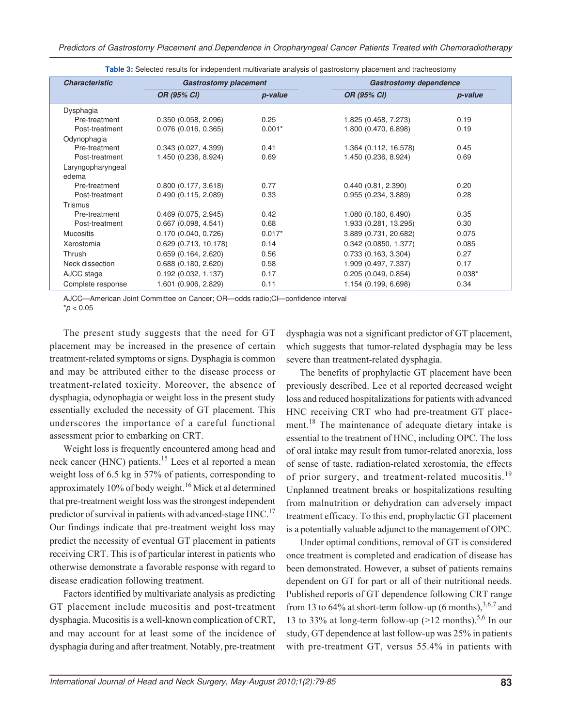| <b>Characteristic</b> | <b>Gastrostomy placement</b> |          | <b>Gastrostomy dependence</b> |          |
|-----------------------|------------------------------|----------|-------------------------------|----------|
|                       | OR (95% CI)                  | p-value  | OR (95% CI)                   | p-value  |
| Dysphagia             |                              |          |                               |          |
| Pre-treatment         | 0.350(0.058, 2.096)          | 0.25     | 1.825 (0.458, 7.273)          | 0.19     |
| Post-treatment        | $0.076$ (0.016, 0.365)       | $0.001*$ | 1.800 (0.470, 6.898)          | 0.19     |
| Odynophagia           |                              |          |                               |          |
| Pre-treatment         | 0.343(0.027, 4.399)          | 0.41     | 1.364 (0.112, 16.578)         | 0.45     |
| Post-treatment        | 1.450 (0.236, 8.924)         | 0.69     | 1.450 (0.236, 8.924)          | 0.69     |
| Laryngopharyngeal     |                              |          |                               |          |
| edema                 |                              |          |                               |          |
| Pre-treatment         | 0.800(0.177, 3.618)          | 0.77     | 0.440(0.81, 2.390)            | 0.20     |
| Post-treatment        | 0.490(0.115, 2.089)          | 0.33     | 0.955(0.234, 3.889)           | 0.28     |
| <b>Trismus</b>        |                              |          |                               |          |
| Pre-treatment         | 0.469(0.075, 2.945)          | 0.42     | 1.080 (0.180, 6.490)          | 0.35     |
| Post-treatment        | $0.667$ (0.098, 4.541)       | 0.68     | 1.933 (0.281, 13.295)         | 0.30     |
| <b>Mucositis</b>      | 0.170 (0.040, 0.726)         | $0.017*$ | 3.889 (0.731, 20.682)         | 0.075    |
| Xerostomia            | $0.629$ (0.713, 10.178)      | 0.14     | $0.342$ (0.0850, 1.377)       | 0.085    |
| Thrush                | 0.659(0.164, 2.620)          | 0.56     | 0.733(0.163, 3.304)           | 0.27     |
| Neck dissection       | 0.688(0.180, 2.620)          | 0.58     | 1.909 (0.497, 7.337)          | 0.17     |
| AJCC stage            | 0.192(0.032, 1.137)          | 0.17     | 0.205(0.049, 0.854)           | $0.038*$ |
| Complete response     | 1.601 (0.906, 2.829)         | 0.11     | 1.154 (0.199, 6.698)          | 0.34     |

**Table 3:** Selected results for independent multivariate analysis of gastrostomy placement and tracheostomy

AJCC—American Joint Committee on Cancer; OR—odds radio;Cl—confidence interval

 $*p < 0.05$ 

The present study suggests that the need for GT placement may be increased in the presence of certain treatment-related symptoms or signs. Dysphagia is common and may be attributed either to the disease process or treatment-related toxicity. Moreover, the absence of dysphagia, odynophagia or weight loss in the present study essentially excluded the necessity of GT placement. This underscores the importance of a careful functional assessment prior to embarking on CRT.

Weight loss is frequently encountered among head and neck cancer (HNC) patients.<sup>15</sup> Lees et al reported a mean weight loss of 6.5 kg in 57% of patients, corresponding to approximately 10% of body weight.<sup>16</sup> Mick et al determined that pre-treatment weight loss was the strongest independent predictor of survival in patients with advanced-stage HNC.<sup>17</sup> Our findings indicate that pre-treatment weight loss may predict the necessity of eventual GT placement in patients receiving CRT. This is of particular interest in patients who otherwise demonstrate a favorable response with regard to disease eradication following treatment.

Factors identified by multivariate analysis as predicting GT placement include mucositis and post-treatment dysphagia. Mucositis is a well-known complication of CRT, and may account for at least some of the incidence of dysphagia during and after treatment. Notably, pre-treatment

dysphagia was not a significant predictor of GT placement, which suggests that tumor-related dysphagia may be less severe than treatment-related dysphagia.

The benefits of prophylactic GT placement have been previously described. Lee et al reported decreased weight loss and reduced hospitalizations for patients with advanced HNC receiving CRT who had pre-treatment GT placement.<sup>18</sup> The maintenance of adequate dietary intake is essential to the treatment of HNC, including OPC. The loss of oral intake may result from tumor-related anorexia, loss of sense of taste, radiation-related xerostomia, the effects of prior surgery, and treatment-related mucositis.<sup>19</sup> Unplanned treatment breaks or hospitalizations resulting from malnutrition or dehydration can adversely impact treatment efficacy. To this end, prophylactic GT placement is a potentially valuable adjunct to the management of OPC.

Under optimal conditions, removal of GT is considered once treatment is completed and eradication of disease has been demonstrated. However, a subset of patients remains dependent on GT for part or all of their nutritional needs. Published reports of GT dependence following CRT range from 13 to 64% at short-term follow-up (6 months),  $3,6,7$  and 13 to 33% at long-term follow-up  $(>12 \text{ months})$ .<sup>5,6</sup> In our study, GT dependence at last follow-up was 25% in patients with pre-treatment GT, versus 55.4% in patients with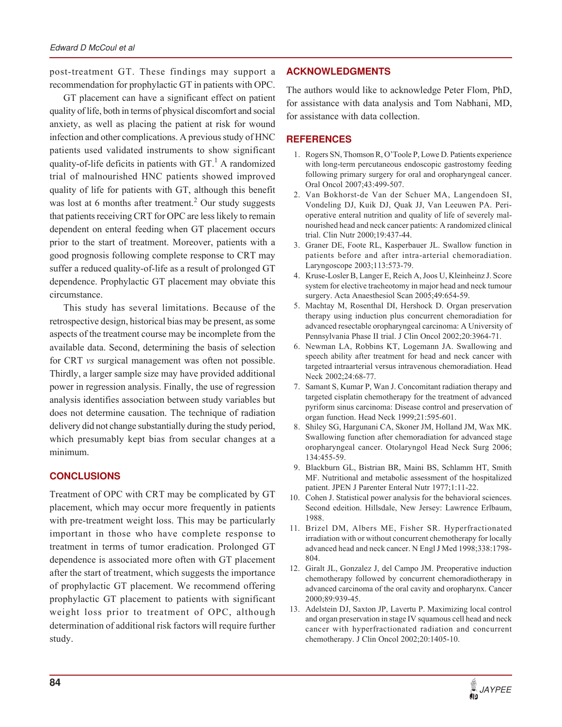post-treatment GT. These findings may support a recommendation for prophylactic GT in patients with OPC.

GT placement can have a significant effect on patient quality of life, both in terms of physical discomfort and social anxiety, as well as placing the patient at risk for wound infection and other complications. A previous study of HNC patients used validated instruments to show significant quality-of-life deficits in patients with  $GT<sup>1</sup>$  A randomized trial of malnourished HNC patients showed improved quality of life for patients with GT, although this benefit was lost at 6 months after treatment.<sup>2</sup> Our study suggests that patients receiving CRT for OPC are less likely to remain dependent on enteral feeding when GT placement occurs prior to the start of treatment. Moreover, patients with a good prognosis following complete response to CRT may suffer a reduced quality-of-life as a result of prolonged GT dependence. Prophylactic GT placement may obviate this circumstance.

This study has several limitations. Because of the retrospective design, historical bias may be present, as some aspects of the treatment course may be incomplete from the available data. Second, determining the basis of selection for CRT *vs* surgical management was often not possible. Thirdly, a larger sample size may have provided additional power in regression analysis. Finally, the use of regression analysis identifies association between study variables but does not determine causation. The technique of radiation delivery did not change substantially during the study period, which presumably kept bias from secular changes at a minimum.

#### **CONCLUSIONS**

Treatment of OPC with CRT may be complicated by GT placement, which may occur more frequently in patients with pre-treatment weight loss. This may be particularly important in those who have complete response to treatment in terms of tumor eradication. Prolonged GT dependence is associated more often with GT placement after the start of treatment, which suggests the importance of prophylactic GT placement. We recommend offering prophylactic GT placement to patients with significant weight loss prior to treatment of OPC, although determination of additional risk factors will require further study.

#### **ACKNOWLEDGMENTS**

The authors would like to acknowledge Peter Flom, PhD, for assistance with data analysis and Tom Nabhani, MD, for assistance with data collection.

## **REFERENCES**

- 1. Rogers SN, Thomson R, O'Toole P, Lowe D. Patients experience with long-term percutaneous endoscopic gastrostomy feeding following primary surgery for oral and oropharyngeal cancer. Oral Oncol 2007;43:499-507.
- 2. Van Bokhorst-de Van der Schuer MA, Langendoen SI, Vondeling DJ, Kuik DJ, Quak JJ, Van Leeuwen PA. Perioperative enteral nutrition and quality of life of severely malnourished head and neck cancer patients: A randomized clinical trial. Clin Nutr 2000;19:437-44.
- 3. Graner DE, Foote RL, Kasperbauer JL. Swallow function in patients before and after intra-arterial chemoradiation. Laryngoscope 2003;113:573-79.
- 4. Kruse-Losler B, Langer E, Reich A, Joos U, Kleinheinz J. Score system for elective tracheotomy in major head and neck tumour surgery. Acta Anaesthesiol Scan 2005;49:654-59.
- 5. Machtay M, Rosenthal DI, Hershock D. Organ preservation therapy using induction plus concurrent chemoradiation for advanced resectable oropharyngeal carcinoma: A University of Pennsylvania Phase II trial. J Clin Oncol 2002;20:3964-71.
- 6. Newman LA, Robbins KT, Logemann JA. Swallowing and speech ability after treatment for head and neck cancer with targeted intraarterial versus intravenous chemoradiation. Head Neck 2002;24:68-77.
- 7. Samant S, Kumar P, Wan J. Concomitant radiation therapy and targeted cisplatin chemotherapy for the treatment of advanced pyriform sinus carcinoma: Disease control and preservation of organ function. Head Neck 1999;21:595-601.
- 8. Shiley SG, Hargunani CA, Skoner JM, Holland JM, Wax MK. Swallowing function after chemoradiation for advanced stage oropharyngeal cancer. Otolaryngol Head Neck Surg 2006; 134:455-59.
- 9. Blackburn GL, Bistrian BR, Maini BS, Schlamm HT, Smith MF. Nutritional and metabolic assessment of the hospitalized patient. JPEN J Parenter Enteral Nutr 1977;1:11-22.
- 10. Cohen J. Statistical power analysis for the behavioral sciences. Second edeition. Hillsdale, New Jersey: Lawrence Erlbaum, 1988.
- 11. Brizel DM, Albers ME, Fisher SR. Hyperfractionated irradiation with or without concurrent chemotherapy for locally advanced head and neck cancer. N Engl J Med 1998;338:1798- 804.
- 12. Giralt JL, Gonzalez J, del Campo JM. Preoperative induction chemotherapy followed by concurrent chemoradiotherapy in advanced carcinoma of the oral cavity and oropharynx. Cancer 2000;89:939-45.
- 13. Adelstein DJ, Saxton JP, Lavertu P. Maximizing local control and organ preservation in stage IV squamous cell head and neck cancer with hyperfractionated radiation and concurrent chemotherapy. J Clin Oncol 2002;20:1405-10.